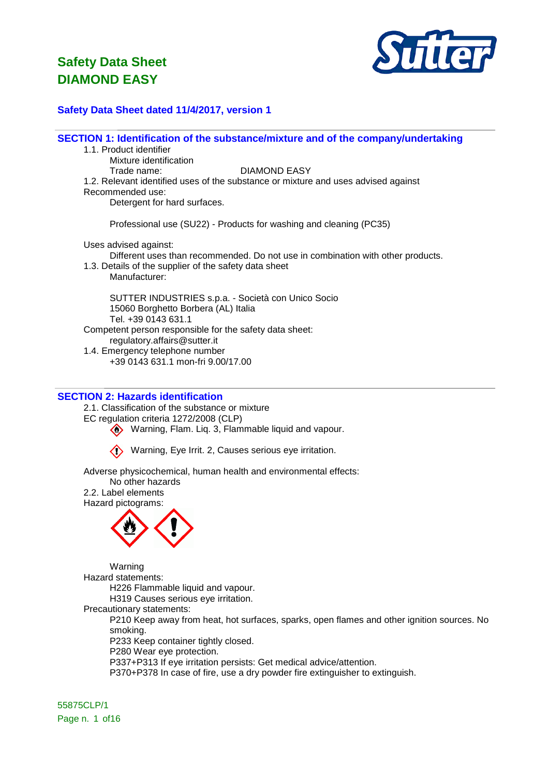

### **Safety Data Sheet dated 11/4/2017, version 1**

**SECTION 1: Identification of the substance/mixture and of the company/undertaking**

- 1.1. Product identifier
	- Mixture identification

Trade name: DIAMOND EASY

- 1.2. Relevant identified uses of the substance or mixture and uses advised against
- Recommended use:

Detergent for hard surfaces.

Professional use (SU22) - Products for washing and cleaning (PC35)

Uses advised against:

Different uses than recommended. Do not use in combination with other products.

1.3. Details of the supplier of the safety data sheet Manufacturer:

SUTTER INDUSTRIES s.p.a. - Società con Unico Socio 15060 Borghetto Borbera (AL) Italia Tel. +39 0143 631.1 Competent person responsible for the safety data sheet: regulatory.affairs@sutter.it

1.4. Emergency telephone number +39 0143 631.1 mon-fri 9.00/17.00

### **SECTION 2: Hazards identification**

2.1. Classification of the substance or mixture

EC regulation criteria 1272/2008 (CLP)

Warning, Flam. Liq. 3, Flammable liquid and vapour.

Warning, Eye Irrit. 2, Causes serious eye irritation.

Adverse physicochemical, human health and environmental effects:

No other hazards 2.2. Label elements

Hazard pictograms:



Warning Hazard statements: H226 Flammable liquid and vapour. H319 Causes serious eye irritation. Precautionary statements:

P210 Keep away from heat, hot surfaces, sparks, open flames and other ignition sources. No smoking.

P233 Keep container tightly closed.

P280 Wear eye protection.

P337+P313 If eye irritation persists: Get medical advice/attention.

P370+P378 In case of fire, use a dry powder fire extinguisher to extinguish.

55875CLP/1 Page n. 1 of 16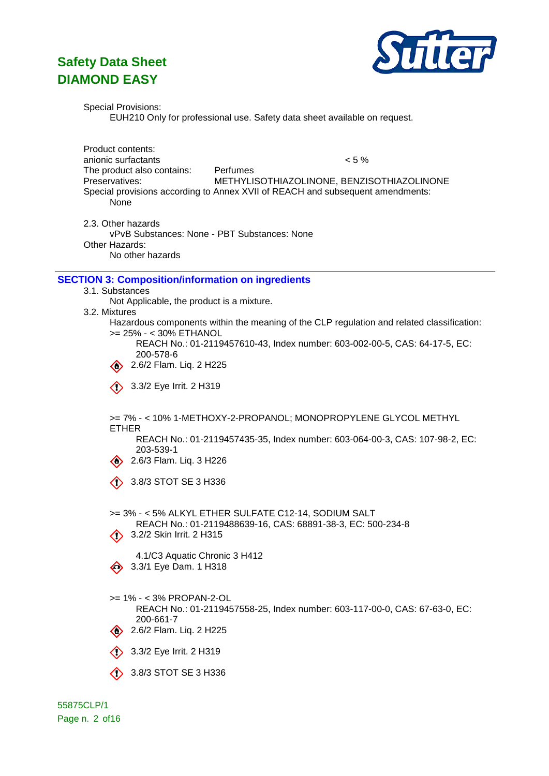

Special Provisions:

EUH210 Only for professional use. Safety data sheet available on request.

Product contents: anionic surfactants < 5 % The product also contains: Perfumes Preservatives: METHYLISOTHIAZOLINONE, BENZISOTHIAZOLINONE Special provisions according to Annex XVII of REACH and subsequent amendments: None

2.3. Other hazards

vPvB Substances: None - PBT Substances: None Other Hazards: No other hazards

#### **SECTION 3: Composition/information on ingredients**

- 3.1. Substances
	- Not Applicable, the product is a mixture.
- 3.2. Mixtures
	- Hazardous components within the meaning of the CLP regulation and related classification: >= 25% - < 30% ETHANOL
		- REACH No.: 01-2119457610-43, Index number: 603-002-00-5, CAS: 64-17-5, EC: 200-578-6
		- $\oslash$  2.6/2 Flam. Liq. 2 H225
		- $\langle \rangle$  3.3/2 Eye Irrit. 2 H319

>= 7% - < 10% 1-METHOXY-2-PROPANOL; MONOPROPYLENE GLYCOL METHYL ETHER

REACH No.: 01-2119457435-35, Index number: 603-064-00-3, CAS: 107-98-2, EC: 203-539-1

2.6/3 Flam. Liq. 3 H226

 $\circ$  3.8/3 STOT SE 3 H336

>= 3% - < 5% ALKYL ETHER SULFATE C12-14, SODIUM SALT REACH No.: 01-2119488639-16, CAS: 68891-38-3, EC: 500-234-8  $\langle \rangle$  3.2/2 Skin Irrit. 2 H315 4.1/C3 Aquatic Chronic 3 H412

 $\leftrightarrow$  3.3/1 Eye Dam. 1 H318

- >= 1% < 3% PROPAN-2-OL
	- REACH No.: 01-2119457558-25, Index number: 603-117-00-0, CAS: 67-63-0, EC: 200-661-7
- $\circled{2}$  2.6/2 Flam. Liq. 2 H225
- $\bullet$  3.3/2 Eye Irrit. 2 H319
- $\circ$  3.8/3 STOT SE 3 H336

55875CLP/1 Page n. 2 of16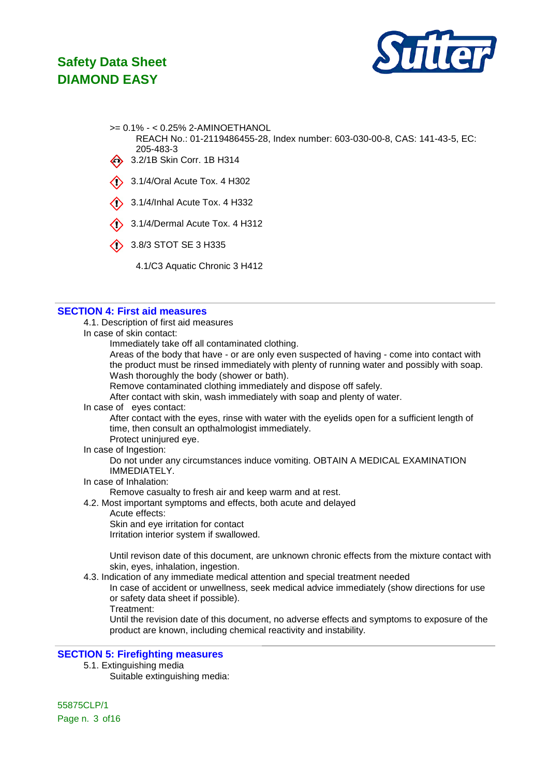

- >= 0.1% < 0.25% 2-AMINOETHANOL
	- REACH No.: 01-2119486455-28, Index number: 603-030-00-8, CAS: 141-43-5, EC: 205-483-3
- 43.2/1B Skin Corr. 1B H314
- $\bigcirc$  3.1/4/Oral Acute Tox. 4 H302
- $\bullet$  3.1/4/Inhal Acute Tox. 4 H332
- 3.1/4/Dermal Acute Tox. 4 H312
- 3.8/3 STOT SE 3 H335
	- 4.1/C3 Aquatic Chronic 3 H412

#### **SECTION 4: First aid measures**

4.1. Description of first aid measures

In case of skin contact:

Immediately take off all contaminated clothing.

Areas of the body that have - or are only even suspected of having - come into contact with the product must be rinsed immediately with plenty of running water and possibly with soap. Wash thoroughly the body (shower or bath).

Remove contaminated clothing immediately and dispose off safely.

After contact with skin, wash immediately with soap and plenty of water.

#### In case of eyes contact:

After contact with the eyes, rinse with water with the eyelids open for a sufficient length of time, then consult an opthalmologist immediately. Protect uninjured eye.

In case of Ingestion:

Do not under any circumstances induce vomiting. OBTAIN A MEDICAL EXAMINATION IMMEDIATELY.

In case of Inhalation:

Remove casualty to fresh air and keep warm and at rest.

4.2. Most important symptoms and effects, both acute and delayed

Acute effects:

Skin and eye irritation for contact

Irritation interior system if swallowed.

Until revison date of this document, are unknown chronic effects from the mixture contact with skin, eyes, inhalation, ingestion.

4.3. Indication of any immediate medical attention and special treatment needed

In case of accident or unwellness, seek medical advice immediately (show directions for use or safety data sheet if possible).

Treatment:

Until the revision date of this document, no adverse effects and symptoms to exposure of the product are known, including chemical reactivity and instability.

### **SECTION 5: Firefighting measures**

5.1. Extinguishing media

Suitable extinguishing media: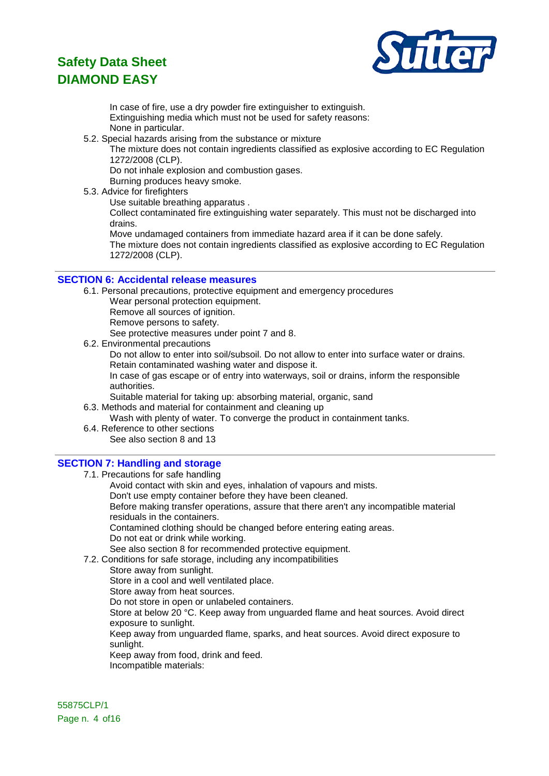

In case of fire, use a dry powder fire extinguisher to extinguish. Extinguishing media which must not be used for safety reasons: None in particular.

5.2. Special hazards arising from the substance or mixture

The mixture does not contain ingredients classified as explosive according to EC Regulation 1272/2008 (CLP).

Do not inhale explosion and combustion gases.

Burning produces heavy smoke.

- 5.3. Advice for firefighters
	- Use suitable breathing apparatus .

Collect contaminated fire extinguishing water separately. This must not be discharged into drains.

Move undamaged containers from immediate hazard area if it can be done safely. The mixture does not contain ingredients classified as explosive according to EC Regulation 1272/2008 (CLP).

#### **SECTION 6: Accidental release measures**

- 6.1. Personal precautions, protective equipment and emergency procedures
	- Wear personal protection equipment.
	- Remove all sources of ignition.

Remove persons to safety.

See protective measures under point 7 and 8.

6.2. Environmental precautions

Do not allow to enter into soil/subsoil. Do not allow to enter into surface water or drains. Retain contaminated washing water and dispose it.

In case of gas escape or of entry into waterways, soil or drains, inform the responsible authorities.

Suitable material for taking up: absorbing material, organic, sand

6.3. Methods and material for containment and cleaning up

Wash with plenty of water. To converge the product in containment tanks.

6.4. Reference to other sections See also section 8 and 13

### **SECTION 7: Handling and storage**

7.1. Precautions for safe handling Avoid contact with skin and eyes, inhalation of vapours and mists. Don't use empty container before they have been cleaned. Before making transfer operations, assure that there aren't any incompatible material residuals in the containers. Contamined clothing should be changed before entering eating areas. Do not eat or drink while working. See also section 8 for recommended protective equipment. 7.2. Conditions for safe storage, including any incompatibilities Store away from sunlight.

Store in a cool and well ventilated place. Store away from heat sources.

Do not store in open or unlabeled containers.

Store at below 20 °C. Keep away from unguarded flame and heat sources. Avoid direct exposure to sunlight.

Keep away from unguarded flame, sparks, and heat sources. Avoid direct exposure to sunlight.

Keep away from food, drink and feed.

Incompatible materials:

55875CLP/1 Page n. 4 of 16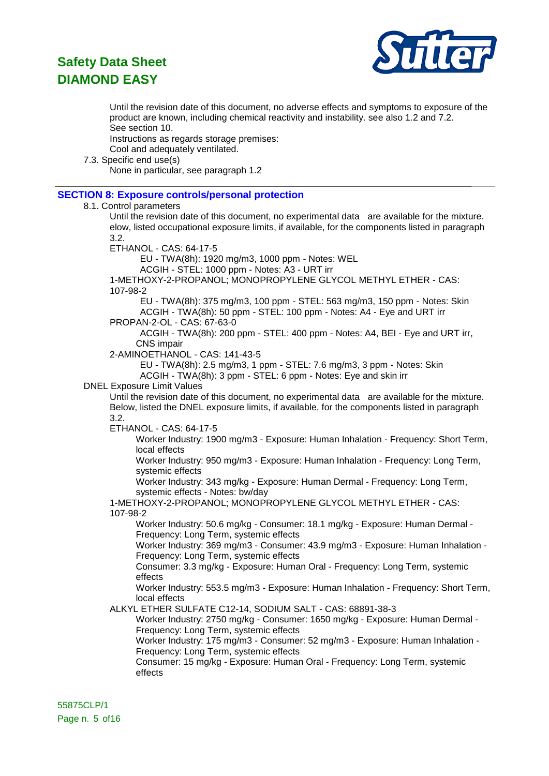

Until the revision date of this document, no adverse effects and symptoms to exposure of the product are known, including chemical reactivity and instability. see also 1.2 and 7.2. See section 10.

Instructions as regards storage premises:

Cool and adequately ventilated.

7.3. Specific end use(s)

None in particular, see paragraph 1.2

### **SECTION 8: Exposure controls/personal protection**

#### 8.1. Control parameters

Until the revision date of this document, no experimental data are available for the mixture. elow, listed occupational exposure limits, if available, for the components listed in paragraph 3.2.

ETHANOL - CAS: 64-17-5

EU - TWA(8h): 1920 mg/m3, 1000 ppm - Notes: WEL

ACGIH - STEL: 1000 ppm - Notes: A3 - URT irr

1-METHOXY-2-PROPANOL; MONOPROPYLENE GLYCOL METHYL ETHER - CAS: 107-98-2

EU - TWA(8h): 375 mg/m3, 100 ppm - STEL: 563 mg/m3, 150 ppm - Notes: Skin ACGIH - TWA(8h): 50 ppm - STEL: 100 ppm - Notes: A4 - Eye and URT irr

PROPAN-2-OL - CAS: 67-63-0

ACGIH - TWA(8h): 200 ppm - STEL: 400 ppm - Notes: A4, BEI - Eye and URT irr, CNS impair

2-AMINOETHANOL - CAS: 141-43-5

EU - TWA(8h): 2.5 mg/m3, 1 ppm - STEL: 7.6 mg/m3, 3 ppm - Notes: Skin ACGIH - TWA(8h): 3 ppm - STEL: 6 ppm - Notes: Eye and skin irr

### DNEL Exposure Limit Values

Until the revision date of this document, no experimental data are available for the mixture. Below, listed the DNEL exposure limits, if available, for the components listed in paragraph 3.2.

ETHANOL - CAS: 64-17-5

Worker Industry: 1900 mg/m3 - Exposure: Human Inhalation - Frequency: Short Term, local effects

Worker Industry: 950 mg/m3 - Exposure: Human Inhalation - Frequency: Long Term, systemic effects

Worker Industry: 343 mg/kg - Exposure: Human Dermal - Frequency: Long Term, systemic effects - Notes: bw/day

1-METHOXY-2-PROPANOL; MONOPROPYLENE GLYCOL METHYL ETHER - CAS: 107-98-2

Worker Industry: 50.6 mg/kg - Consumer: 18.1 mg/kg - Exposure: Human Dermal - Frequency: Long Term, systemic effects

Worker Industry: 369 mg/m3 - Consumer: 43.9 mg/m3 - Exposure: Human Inhalation - Frequency: Long Term, systemic effects

Consumer: 3.3 mg/kg - Exposure: Human Oral - Frequency: Long Term, systemic effects

Worker Industry: 553.5 mg/m3 - Exposure: Human Inhalation - Frequency: Short Term, local effects

ALKYL ETHER SULFATE C12-14, SODIUM SALT - CAS: 68891-38-3

Worker Industry: 2750 mg/kg - Consumer: 1650 mg/kg - Exposure: Human Dermal - Frequency: Long Term, systemic effects

Worker Industry: 175 mg/m3 - Consumer: 52 mg/m3 - Exposure: Human Inhalation - Frequency: Long Term, systemic effects

Consumer: 15 mg/kg - Exposure: Human Oral - Frequency: Long Term, systemic effects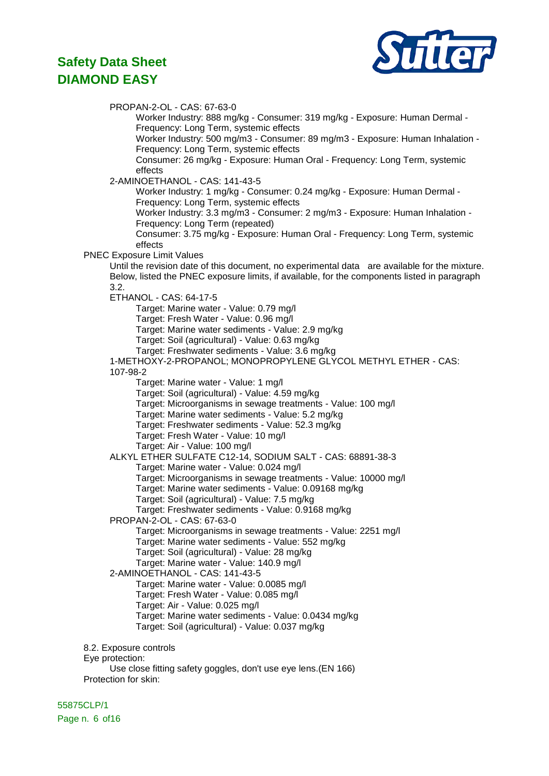

PROPAN-2-OL - CAS: 67-63-0 Worker Industry: 888 mg/kg - Consumer: 319 mg/kg - Exposure: Human Dermal - Frequency: Long Term, systemic effects Worker Industry: 500 mg/m3 - Consumer: 89 mg/m3 - Exposure: Human Inhalation - Frequency: Long Term, systemic effects Consumer: 26 mg/kg - Exposure: Human Oral - Frequency: Long Term, systemic effects 2-AMINOETHANOL - CAS: 141-43-5 Worker Industry: 1 mg/kg - Consumer: 0.24 mg/kg - Exposure: Human Dermal - Frequency: Long Term, systemic effects Worker Industry: 3.3 mg/m3 - Consumer: 2 mg/m3 - Exposure: Human Inhalation - Frequency: Long Term (repeated) Consumer: 3.75 mg/kg - Exposure: Human Oral - Frequency: Long Term, systemic effects PNEC Exposure Limit Values Until the revision date of this document, no experimental data are available for the mixture. Below, listed the PNEC exposure limits, if available, for the components listed in paragraph 3.2. ETHANOL - CAS: 64-17-5 Target: Marine water - Value: 0.79 mg/l Target: Fresh Water - Value: 0.96 mg/l Target: Marine water sediments - Value: 2.9 mg/kg Target: Soil (agricultural) - Value: 0.63 mg/kg Target: Freshwater sediments - Value: 3.6 mg/kg 1-METHOXY-2-PROPANOL; MONOPROPYLENE GLYCOL METHYL ETHER - CAS: 107-98-2 Target: Marine water - Value: 1 mg/l Target: Soil (agricultural) - Value: 4.59 mg/kg Target: Microorganisms in sewage treatments - Value: 100 mg/l Target: Marine water sediments - Value: 5.2 mg/kg Target: Freshwater sediments - Value: 52.3 mg/kg Target: Fresh Water - Value: 10 mg/l Target: Air - Value: 100 mg/l ALKYL ETHER SULFATE C12-14, SODIUM SALT - CAS: 68891-38-3 Target: Marine water - Value: 0.024 mg/l Target: Microorganisms in sewage treatments - Value: 10000 mg/l Target: Marine water sediments - Value: 0.09168 mg/kg Target: Soil (agricultural) - Value: 7.5 mg/kg Target: Freshwater sediments - Value: 0.9168 mg/kg PROPAN-2-OL - CAS: 67-63-0 Target: Microorganisms in sewage treatments - Value: 2251 mg/l Target: Marine water sediments - Value: 552 mg/kg Target: Soil (agricultural) - Value: 28 mg/kg Target: Marine water - Value: 140.9 mg/l 2-AMINOETHANOL - CAS: 141-43-5 Target: Marine water - Value: 0.0085 mg/l Target: Fresh Water - Value: 0.085 mg/l Target: Air - Value: 0.025 mg/l Target: Marine water sediments - Value: 0.0434 mg/kg Target: Soil (agricultural) - Value: 0.037 mg/kg 8.2. Exposure controls Eye protection: Use close fitting safety goggles, don't use eye lens.(EN 166) Protection for skin:

55875CLP/1 Page n. 6 of 16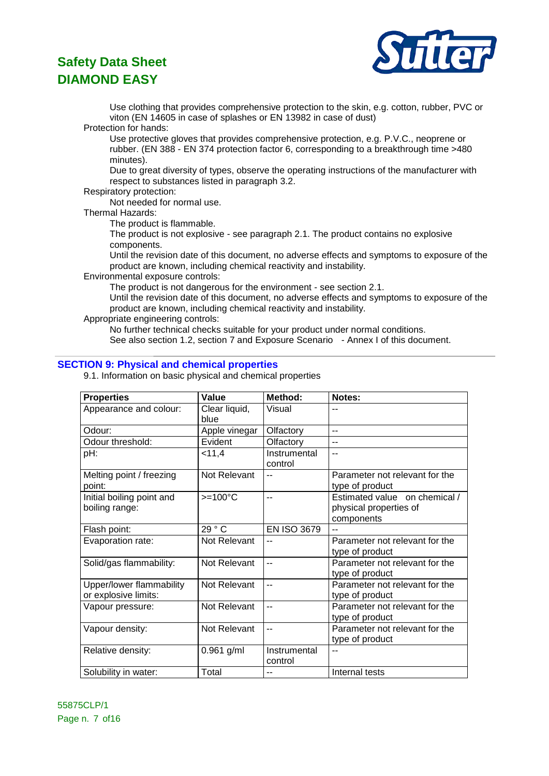

Use clothing that provides comprehensive protection to the skin, e.g. cotton, rubber, PVC or viton (EN 14605 in case of splashes or EN 13982 in case of dust)

Protection for hands:

Use protective gloves that provides comprehensive protection, e.g. P.V.C., neoprene or rubber. (EN 388 - EN 374 protection factor 6, corresponding to a breakthrough time >480 minutes).

Due to great diversity of types, observe the operating instructions of the manufacturer with respect to substances listed in paragraph 3.2.

#### Respiratory protection:

Not needed for normal use.

#### Thermal Hazards:

The product is flammable.

The product is not explosive - see paragraph 2.1. The product contains no explosive components.

Until the revision date of this document, no adverse effects and symptoms to exposure of the product are known, including chemical reactivity and instability.

Environmental exposure controls:

The product is not dangerous for the environment - see section 2.1.

Until the revision date of this document, no adverse effects and symptoms to exposure of the product are known, including chemical reactivity and instability.

Appropriate engineering controls:

No further technical checks suitable for your product under normal conditions. See also section 1.2, section 7 and Exposure Scenario - Annex I of this document.

### **SECTION 9: Physical and chemical properties**

9.1. Information on basic physical and chemical properties

| <b>Properties</b>                                | <b>Value</b>          | Method:                 | Notes:                                                                |
|--------------------------------------------------|-----------------------|-------------------------|-----------------------------------------------------------------------|
| Appearance and colour:                           | Clear liquid,<br>blue | Visual                  | $\overline{a}$                                                        |
| Odour:                                           | Apple vinegar         | Olfactory               | $\overline{a}$                                                        |
| Odour threshold:                                 | Evident               | Olfactory               | $-$                                                                   |
| pH:                                              | < 11,4                | Instrumental<br>control | $-$                                                                   |
| Melting point / freezing<br>point:               | <b>Not Relevant</b>   | $-$                     | Parameter not relevant for the<br>type of product                     |
| Initial boiling point and<br>boiling range:      | $>=100^{\circ}C$      | $-$                     | Estimated value on chemical /<br>physical properties of<br>components |
| Flash point:                                     | 29 °C                 | <b>EN ISO 3679</b>      |                                                                       |
| Evaporation rate:                                | Not Relevant          |                         | Parameter not relevant for the<br>type of product                     |
| Solid/gas flammability:                          | Not Relevant          | $-$                     | Parameter not relevant for the<br>type of product                     |
| Upper/lower flammability<br>or explosive limits: | Not Relevant          | $-$                     | Parameter not relevant for the<br>type of product                     |
| Vapour pressure:                                 | Not Relevant          | $\overline{a}$          | Parameter not relevant for the<br>type of product                     |
| Vapour density:                                  | Not Relevant          | $\overline{a}$          | Parameter not relevant for the<br>type of product                     |
| Relative density:                                | $0.961$ g/ml          | Instrumental<br>control | $\overline{a}$                                                        |
| Solubility in water:                             | Total                 | --                      | Internal tests                                                        |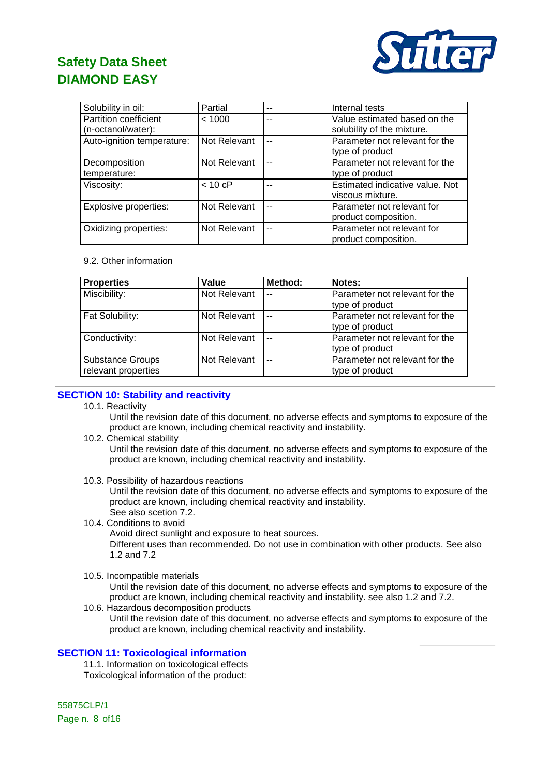

| Solubility in oil:         | Partial           | --  | Internal tests                  |
|----------------------------|-------------------|-----|---------------------------------|
| Partition coefficient      | < 1000            | --  | Value estimated based on the    |
| (n-octanol/water):         |                   |     | solubility of the mixture.      |
| Auto-ignition temperature: | Not Relevant      | $-$ | Parameter not relevant for the  |
|                            |                   |     | type of product                 |
| Decomposition              | Not Relevant      | $-$ | Parameter not relevant for the  |
| temperature:               |                   |     | type of product                 |
| Viscosity:                 | $< 10 \text{ cP}$ |     | Estimated indicative value. Not |
|                            |                   |     | viscous mixture.                |
| Explosive properties:      | Not Relevant      | $-$ | Parameter not relevant for      |
|                            |                   |     | product composition.            |
| Oxidizing properties:      | Not Relevant      | --  | Parameter not relevant for      |
|                            |                   |     | product composition.            |

#### 9.2. Other information

| <b>Properties</b>                              | Value        | Method: | Notes:                                            |
|------------------------------------------------|--------------|---------|---------------------------------------------------|
| Miscibility:                                   | Not Relevant | $\sim$  | Parameter not relevant for the<br>type of product |
| Fat Solubility:                                | Not Relevant | $\sim$  | Parameter not relevant for the<br>type of product |
| Conductivity:                                  | Not Relevant | $\sim$  | Parameter not relevant for the<br>type of product |
| <b>Substance Groups</b><br>relevant properties | Not Relevant | $\sim$  | Parameter not relevant for the<br>type of product |

### **SECTION 10: Stability and reactivity**

10.1. Reactivity

Until the revision date of this document, no adverse effects and symptoms to exposure of the product are known, including chemical reactivity and instability.

- 10.2. Chemical stability Until the revision date of this document, no adverse effects and symptoms to exposure of the product are known, including chemical reactivity and instability.
- 10.3. Possibility of hazardous reactions

Until the revision date of this document, no adverse effects and symptoms to exposure of the product are known, including chemical reactivity and instability. See also scetion 7.2.

10.4. Conditions to avoid

Avoid direct sunlight and exposure to heat sources.

Different uses than recommended. Do not use in combination with other products. See also 1.2 and 7.2

10.5. Incompatible materials

Until the revision date of this document, no adverse effects and symptoms to exposure of the product are known, including chemical reactivity and instability. see also 1.2 and 7.2.

10.6. Hazardous decomposition products

Until the revision date of this document, no adverse effects and symptoms to exposure of the product are known, including chemical reactivity and instability.

### **SECTION 11: Toxicological information**

11.1. Information on toxicological effects Toxicological information of the product:

55875CLP/1 Page n. 8 of 16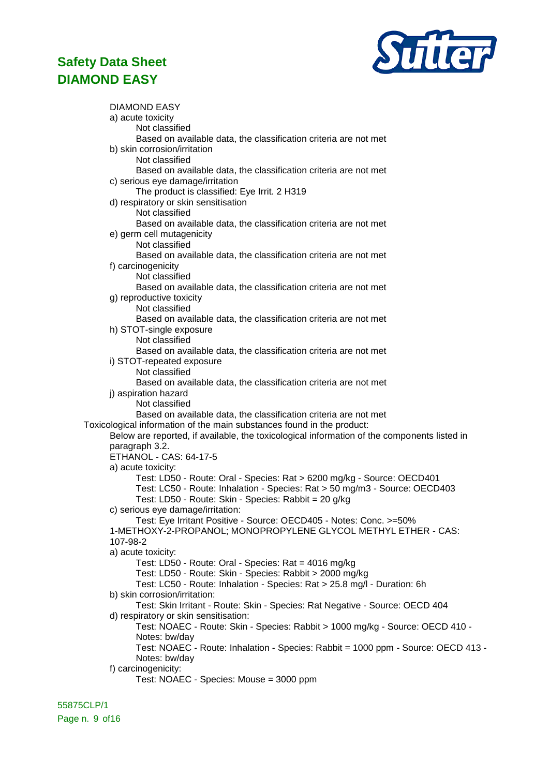

DIAMOND EASY a) acute toxicity Not classified Based on available data, the classification criteria are not met b) skin corrosion/irritation Not classified Based on available data, the classification criteria are not met c) serious eye damage/irritation The product is classified: Eye Irrit. 2 H319 d) respiratory or skin sensitisation Not classified Based on available data, the classification criteria are not met e) germ cell mutagenicity Not classified Based on available data, the classification criteria are not met f) carcinogenicity Not classified Based on available data, the classification criteria are not met g) reproductive toxicity Not classified Based on available data, the classification criteria are not met h) STOT-single exposure Not classified Based on available data, the classification criteria are not met i) STOT-repeated exposure Not classified Based on available data, the classification criteria are not met j) aspiration hazard Not classified Based on available data, the classification criteria are not met Toxicological information of the main substances found in the product: Below are reported, if available, the toxicological information of the components listed in paragraph 3.2. ETHANOL - CAS: 64-17-5 a) acute toxicity: Test: LD50 - Route: Oral - Species: Rat > 6200 mg/kg - Source: OECD401 Test: LC50 - Route: Inhalation - Species: Rat > 50 mg/m3 - Source: OECD403 Test: LD50 - Route: Skin - Species: Rabbit = 20 g/kg c) serious eye damage/irritation: Test: Eye Irritant Positive - Source: OECD405 - Notes: Conc. >=50% 1-METHOXY-2-PROPANOL; MONOPROPYLENE GLYCOL METHYL ETHER - CAS: 107-98-2 a) acute toxicity: Test: LD50 - Route: Oral - Species: Rat = 4016 mg/kg Test: LD50 - Route: Skin - Species: Rabbit > 2000 mg/kg Test: LC50 - Route: Inhalation - Species: Rat > 25.8 mg/l - Duration: 6h b) skin corrosion/irritation: Test: Skin Irritant - Route: Skin - Species: Rat Negative - Source: OECD 404 d) respiratory or skin sensitisation: Test: NOAEC - Route: Skin - Species: Rabbit > 1000 mg/kg - Source: OECD 410 - Notes: bw/day Test: NOAEC - Route: Inhalation - Species: Rabbit = 1000 ppm - Source: OECD 413 - Notes: bw/day f) carcinogenicity: Test: NOAEC - Species: Mouse = 3000 ppm

55875CLP/1 Page n. 9 of 16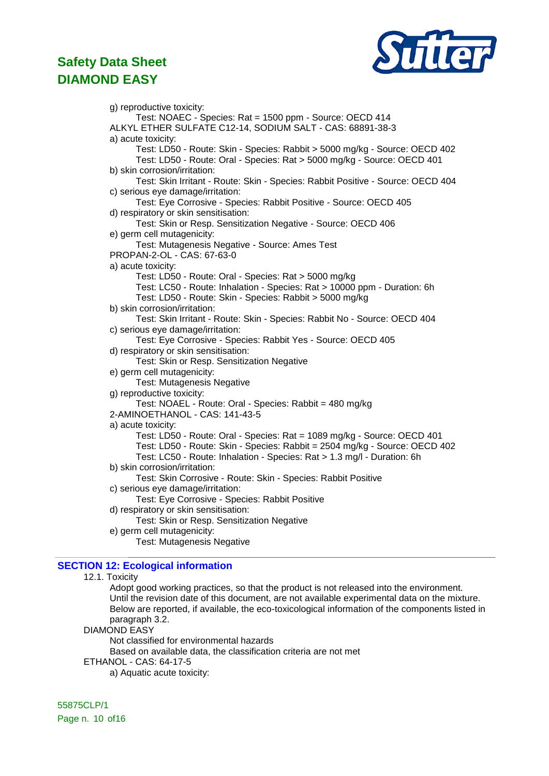

g) reproductive toxicity: Test: NOAEC - Species: Rat = 1500 ppm - Source: OECD 414 ALKYL ETHER SULFATE C12-14, SODIUM SALT - CAS: 68891-38-3 a) acute toxicity: Test: LD50 - Route: Skin - Species: Rabbit > 5000 mg/kg - Source: OECD 402 Test: LD50 - Route: Oral - Species: Rat > 5000 mg/kg - Source: OECD 401 b) skin corrosion/irritation: Test: Skin Irritant - Route: Skin - Species: Rabbit Positive - Source: OECD 404 c) serious eye damage/irritation: Test: Eye Corrosive - Species: Rabbit Positive - Source: OECD 405 d) respiratory or skin sensitisation: Test: Skin or Resp. Sensitization Negative - Source: OECD 406 e) germ cell mutagenicity: Test: Mutagenesis Negative - Source: Ames Test PROPAN-2-OL - CAS: 67-63-0 a) acute toxicity: Test: LD50 - Route: Oral - Species: Rat > 5000 mg/kg Test: LC50 - Route: Inhalation - Species: Rat > 10000 ppm - Duration: 6h Test: LD50 - Route: Skin - Species: Rabbit > 5000 mg/kg b) skin corrosion/irritation: Test: Skin Irritant - Route: Skin - Species: Rabbit No - Source: OECD 404 c) serious eye damage/irritation: Test: Eye Corrosive - Species: Rabbit Yes - Source: OECD 405 d) respiratory or skin sensitisation: Test: Skin or Resp. Sensitization Negative e) germ cell mutagenicity: Test: Mutagenesis Negative g) reproductive toxicity: Test: NOAEL - Route: Oral - Species: Rabbit = 480 mg/kg 2-AMINOETHANOL - CAS: 141-43-5 a) acute toxicity: Test: LD50 - Route: Oral - Species: Rat = 1089 mg/kg - Source: OECD 401 Test: LD50 - Route: Skin - Species: Rabbit = 2504 mg/kg - Source: OECD 402 Test: LC50 - Route: Inhalation - Species: Rat > 1.3 mg/l - Duration: 6h b) skin corrosion/irritation: Test: Skin Corrosive - Route: Skin - Species: Rabbit Positive c) serious eye damage/irritation: Test: Eye Corrosive - Species: Rabbit Positive d) respiratory or skin sensitisation: Test: Skin or Resp. Sensitization Negative e) germ cell mutagenicity: Test: Mutagenesis Negative

### **SECTION 12: Ecological information**

#### 12.1. Toxicity

Adopt good working practices, so that the product is not released into the environment. Until the revision date of this document, are not available experimental data on the mixture. Below are reported, if available, the eco-toxicological information of the components listed in paragraph 3.2.

#### DIAMOND EASY

Not classified for environmental hazards

Based on available data, the classification criteria are not met

ETHANOL - CAS: 64-17-5

a) Aquatic acute toxicity:

55875CLP/1 Page n. 10 of16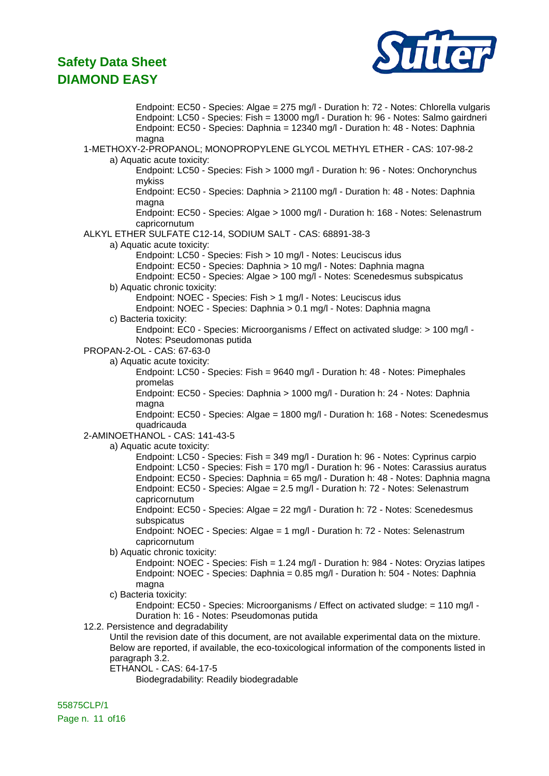

Endpoint: EC50 - Species: Algae = 275 mg/l - Duration h: 72 - Notes: Chlorella vulgaris Endpoint: LC50 - Species: Fish = 13000 mg/l - Duration h: 96 - Notes: Salmo gairdneri Endpoint: EC50 - Species: Daphnia = 12340 mg/l - Duration h: 48 - Notes: Daphnia magna 1-METHOXY-2-PROPANOL; MONOPROPYLENE GLYCOL METHYL ETHER - CAS: 107-98-2 a) Aquatic acute toxicity: Endpoint: LC50 - Species: Fish > 1000 mg/l - Duration h: 96 - Notes: Onchorynchus mykiss Endpoint: EC50 - Species: Daphnia > 21100 mg/l - Duration h: 48 - Notes: Daphnia magna Endpoint: EC50 - Species: Algae > 1000 mg/l - Duration h: 168 - Notes: Selenastrum capricornutum ALKYL ETHER SULFATE C12-14, SODIUM SALT - CAS: 68891-38-3 a) Aquatic acute toxicity: Endpoint: LC50 - Species: Fish > 10 mg/l - Notes: Leuciscus idus Endpoint: EC50 - Species: Daphnia > 10 mg/l - Notes: Daphnia magna Endpoint: EC50 - Species: Algae > 100 mg/l - Notes: Scenedesmus subspicatus b) Aquatic chronic toxicity: Endpoint: NOEC - Species: Fish > 1 mg/l - Notes: Leuciscus idus Endpoint: NOEC - Species: Daphnia > 0.1 mg/l - Notes: Daphnia magna c) Bacteria toxicity: Endpoint: EC0 - Species: Microorganisms / Effect on activated sludge: > 100 mg/l - Notes: Pseudomonas putida PROPAN-2-OL - CAS: 67-63-0 a) Aquatic acute toxicity: Endpoint: LC50 - Species: Fish = 9640 mg/l - Duration h: 48 - Notes: Pimephales promelas Endpoint: EC50 - Species: Daphnia > 1000 mg/l - Duration h: 24 - Notes: Daphnia magna Endpoint: EC50 - Species: Algae = 1800 mg/l - Duration h: 168 - Notes: Scenedesmus quadricauda 2-AMINOETHANOL - CAS: 141-43-5 a) Aquatic acute toxicity: Endpoint: LC50 - Species: Fish = 349 mg/l - Duration h: 96 - Notes: Cyprinus carpio Endpoint: LC50 - Species: Fish = 170 mg/l - Duration h: 96 - Notes: Carassius auratus Endpoint: EC50 - Species: Daphnia = 65 mg/l - Duration h: 48 - Notes: Daphnia magna Endpoint: EC50 - Species: Algae = 2.5 mg/l - Duration h: 72 - Notes: Selenastrum capricornutum Endpoint: EC50 - Species: Algae = 22 mg/l - Duration h: 72 - Notes: Scenedesmus subspicatus Endpoint: NOEC - Species: Algae = 1 mg/l - Duration h: 72 - Notes: Selenastrum capricornutum b) Aquatic chronic toxicity: Endpoint: NOEC - Species: Fish = 1.24 mg/l - Duration h: 984 - Notes: Oryzias latipes Endpoint: NOEC - Species: Daphnia = 0.85 mg/l - Duration h: 504 - Notes: Daphnia magna c) Bacteria toxicity: Endpoint: EC50 - Species: Microorganisms / Effect on activated sludge: = 110 mg/l - Duration h: 16 - Notes: Pseudomonas putida 12.2. Persistence and degradability Until the revision date of this document, are not available experimental data on the mixture. Below are reported, if available, the eco-toxicological information of the components listed in paragraph 3.2. ETHANOL - CAS: 64-17-5 Biodegradability: Readily biodegradable

55875CLP/1 Page n. 11 of16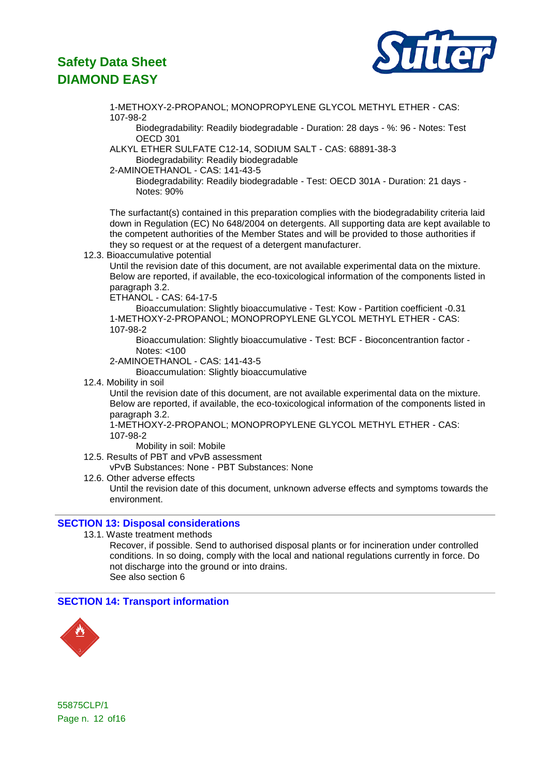

1-METHOXY-2-PROPANOL; MONOPROPYLENE GLYCOL METHYL ETHER - CAS: 107-98-2

Biodegradability: Readily biodegradable - Duration: 28 days - %: 96 - Notes: Test OECD 301

ALKYL ETHER SULFATE C12-14, SODIUM SALT - CAS: 68891-38-3 Biodegradability: Readily biodegradable

2-AMINOETHANOL - CAS: 141-43-5

Biodegradability: Readily biodegradable - Test: OECD 301A - Duration: 21 days - Notes: 90%

The surfactant(s) contained in this preparation complies with the biodegradability criteria laid down in Regulation (EC) No 648/2004 on detergents. All supporting data are kept available to the competent authorities of the Member States and will be provided to those authorities if they so request or at the request of a detergent manufacturer.

12.3. Bioaccumulative potential

Until the revision date of this document, are not available experimental data on the mixture. Below are reported, if available, the eco-toxicological information of the components listed in paragraph 3.2.

ETHANOL - CAS: 64-17-5

Bioaccumulation: Slightly bioaccumulative - Test: Kow - Partition coefficient -0.31 1-METHOXY-2-PROPANOL; MONOPROPYLENE GLYCOL METHYL ETHER - CAS: 107-98-2

Bioaccumulation: Slightly bioaccumulative - Test: BCF - Bioconcentrantion factor - Notes: <100

2-AMINOETHANOL - CAS: 141-43-5

Bioaccumulation: Slightly bioaccumulative

12.4. Mobility in soil

Until the revision date of this document, are not available experimental data on the mixture. Below are reported, if available, the eco-toxicological information of the components listed in paragraph 3.2.

1-METHOXY-2-PROPANOL; MONOPROPYLENE GLYCOL METHYL ETHER - CAS: 107-98-2

Mobility in soil: Mobile

- 12.5. Results of PBT and vPvB assessment
- vPvB Substances: None PBT Substances: None
- 12.6. Other adverse effects

Until the revision date of this document, unknown adverse effects and symptoms towards the environment.

### **SECTION 13: Disposal considerations**

13.1. Waste treatment methods

Recover, if possible. Send to authorised disposal plants or for incineration under controlled conditions. In so doing, comply with the local and national regulations currently in force. Do not discharge into the ground or into drains. See also section 6

### **SECTION 14: Transport information**



55875CLP/1 Page n. 12 of16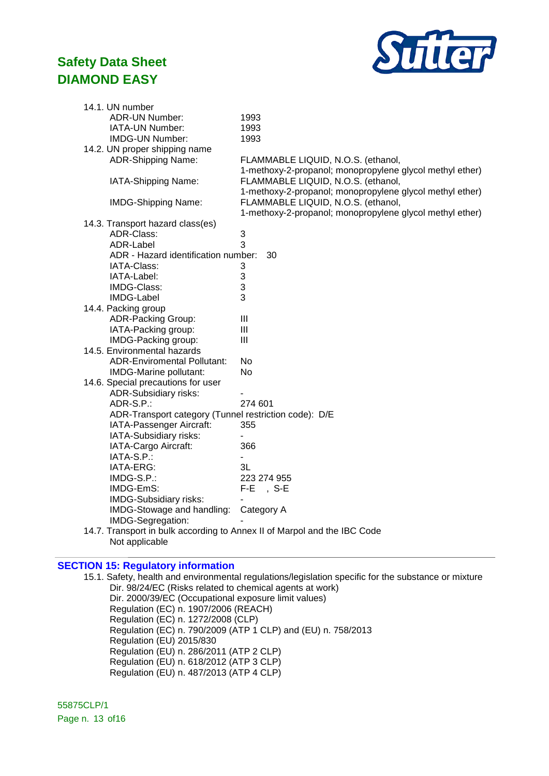

| 14.1. UN number                                                          |                                                          |  |  |  |
|--------------------------------------------------------------------------|----------------------------------------------------------|--|--|--|
| <b>ADR-UN Number:</b>                                                    | 1993                                                     |  |  |  |
| IATA-UN Number:                                                          | 1993                                                     |  |  |  |
| <b>IMDG-UN Number:</b>                                                   | 1993                                                     |  |  |  |
| 14.2. UN proper shipping name                                            |                                                          |  |  |  |
| <b>ADR-Shipping Name:</b>                                                | FLAMMABLE LIQUID, N.O.S. (ethanol,                       |  |  |  |
|                                                                          | 1-methoxy-2-propanol; monopropylene glycol methyl ether) |  |  |  |
| IATA-Shipping Name:                                                      | FLAMMABLE LIQUID, N.O.S. (ethanol,                       |  |  |  |
|                                                                          | 1-methoxy-2-propanol; monopropylene glycol methyl ether) |  |  |  |
| <b>IMDG-Shipping Name:</b>                                               | FLAMMABLE LIQUID, N.O.S. (ethanol,                       |  |  |  |
|                                                                          | 1-methoxy-2-propanol; monopropylene glycol methyl ether) |  |  |  |
| 14.3. Transport hazard class(es)                                         |                                                          |  |  |  |
| ADR-Class:                                                               | 3                                                        |  |  |  |
| ADR-Label                                                                | 3                                                        |  |  |  |
| ADR - Hazard identification number:                                      | 30                                                       |  |  |  |
| IATA-Class:                                                              | 3                                                        |  |  |  |
| IATA-Label:                                                              | 3                                                        |  |  |  |
| IMDG-Class:                                                              | 3                                                        |  |  |  |
| <b>IMDG-Label</b>                                                        | 3                                                        |  |  |  |
| 14.4. Packing group                                                      |                                                          |  |  |  |
| <b>ADR-Packing Group:</b>                                                | III                                                      |  |  |  |
| IATA-Packing group:                                                      | III                                                      |  |  |  |
| IMDG-Packing group:                                                      | $\mathbf{III}$                                           |  |  |  |
| 14.5. Environmental hazards                                              |                                                          |  |  |  |
| <b>ADR-Enviromental Pollutant:</b>                                       | No                                                       |  |  |  |
| IMDG-Marine pollutant:                                                   | <b>No</b>                                                |  |  |  |
| 14.6. Special precautions for user                                       |                                                          |  |  |  |
| <b>ADR-Subsidiary risks:</b>                                             |                                                          |  |  |  |
| ADR-S.P.:                                                                | 274 601                                                  |  |  |  |
| ADR-Transport category (Tunnel restriction code): D/E                    |                                                          |  |  |  |
| IATA-Passenger Aircraft:                                                 | 355                                                      |  |  |  |
| IATA-Subsidiary risks:                                                   |                                                          |  |  |  |
| IATA-Cargo Aircraft:                                                     | 366                                                      |  |  |  |
| IATA-S.P.:                                                               |                                                          |  |  |  |
| IATA-ERG:                                                                | 3L                                                       |  |  |  |
| IMDG-S.P.:                                                               | 223 274 955                                              |  |  |  |
| IMDG-EmS:                                                                | F-E<br>,S-E                                              |  |  |  |
| IMDG-Subsidiary risks:                                                   |                                                          |  |  |  |
| IMDG-Stowage and handling:                                               | Category A                                               |  |  |  |
| IMDG-Segregation:                                                        |                                                          |  |  |  |
| 14.7. Transport in bulk according to Annex II of Marpol and the IBC Code |                                                          |  |  |  |
| Not applicable                                                           |                                                          |  |  |  |

### **SECTION 15: Regulatory information**

15.1. Safety, health and environmental regulations/legislation specific for the substance or mixture Dir. 98/24/EC (Risks related to chemical agents at work) Dir. 2000/39/EC (Occupational exposure limit values) Regulation (EC) n. 1907/2006 (REACH) Regulation (EC) n. 1272/2008 (CLP) Regulation (EC) n. 790/2009 (ATP 1 CLP) and (EU) n. 758/2013 Regulation (EU) 2015/830 Regulation (EU) n. 286/2011 (ATP 2 CLP) Regulation (EU) n. 618/2012 (ATP 3 CLP) Regulation (EU) n. 487/2013 (ATP 4 CLP)

55875CLP/1 Page n. 13 of16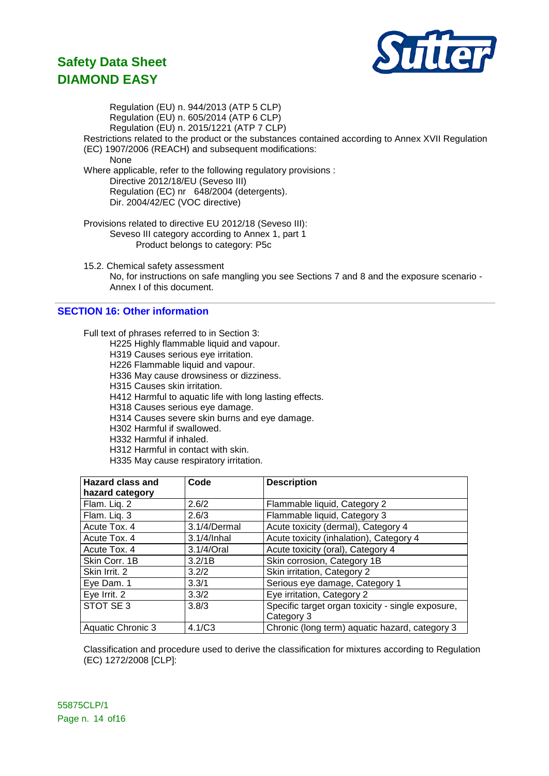

Regulation (EU) n. 944/2013 (ATP 5 CLP) Regulation (EU) n. 605/2014 (ATP 6 CLP) Regulation (EU) n. 2015/1221 (ATP 7 CLP) Restrictions related to the product or the substances contained according to Annex XVII Regulation (EC) 1907/2006 (REACH) and subsequent modifications: None Where applicable, refer to the following regulatory provisions : Directive 2012/18/EU (Seveso III) Regulation (EC) nr 648/2004 (detergents). Dir. 2004/42/EC (VOC directive) Provisions related to directive EU 2012/18 (Seveso III): Seveso III category according to Annex 1, part 1 Product belongs to category: P5c

15.2. Chemical safety assessment No, for instructions on safe mangling you see Sections 7 and 8 and the exposure scenario - Annex I of this document.

### **SECTION 16: Other information**

Full text of phrases referred to in Section 3:

- H225 Highly flammable liquid and vapour.
- H319 Causes serious eye irritation.
- H226 Flammable liquid and vapour.
- H336 May cause drowsiness or dizziness.
- H315 Causes skin irritation.
- H412 Harmful to aquatic life with long lasting effects.
- H318 Causes serious eye damage.
- H314 Causes severe skin burns and eye damage.
- H302 Harmful if swallowed.
- H332 Harmful if inhaled.
- H312 Harmful in contact with skin.
- H335 May cause respiratory irritation.

| <b>Hazard class and</b> | Code         | <b>Description</b>                                |
|-------------------------|--------------|---------------------------------------------------|
| hazard category         |              |                                                   |
| Flam. Liq. 2            | 2.6/2        | Flammable liquid, Category 2                      |
| Flam. Liq. 3            | 2.6/3        | Flammable liquid, Category 3                      |
| Acute Tox. 4            | 3.1/4/Dermal | Acute toxicity (dermal), Category 4               |
| Acute Tox. 4            | 3.1/4/Inhal  | Acute toxicity (inhalation), Category 4           |
| Acute Tox. 4            | 3.1/4/Oral   | Acute toxicity (oral), Category 4                 |
| Skin Corr. 1B           | 3.2/1B       | Skin corrosion, Category 1B                       |
| Skin Irrit, 2           | 3.2/2        | Skin irritation, Category 2                       |
| Eye Dam. 1              | 3.3/1        | Serious eye damage, Category 1                    |
| Eye Irrit. 2            | 3.3/2        | Eye irritation, Category 2                        |
| STOT SE3                | 3.8/3        | Specific target organ toxicity - single exposure, |
|                         |              | Category 3                                        |
| Aquatic Chronic 3       | 4.1/C3       | Chronic (long term) aquatic hazard, category 3    |

Classification and procedure used to derive the classification for mixtures according to Regulation (EC) 1272/2008 [CLP]: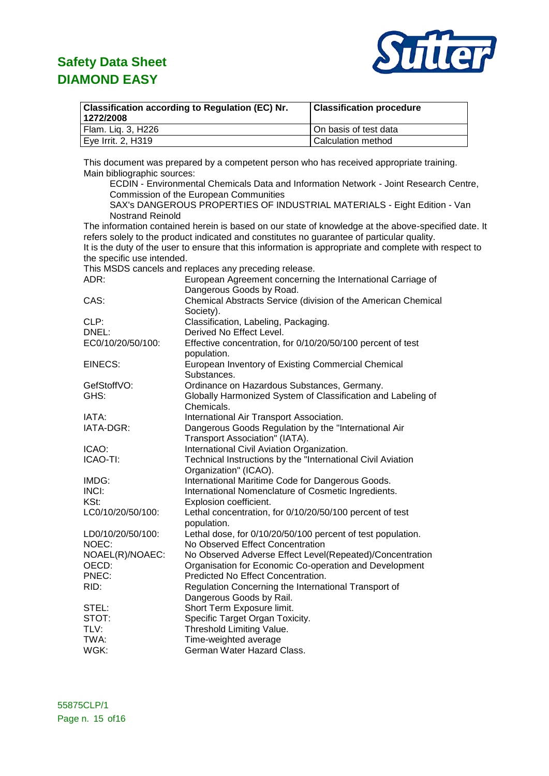

| <b>Classification according to Regulation (EC) Nr.</b><br>1272/2008 | <b>Classification procedure</b> |
|---------------------------------------------------------------------|---------------------------------|
| Flam. Lig. 3, H226                                                  | On basis of test data           |
| Eye Irrit. 2, H319                                                  | Calculation method              |

This document was prepared by a competent person who has received appropriate training. Main bibliographic sources:

ECDIN - Environmental Chemicals Data and Information Network - Joint Research Centre, Commission of the European Communities

SAX's DANGEROUS PROPERTIES OF INDUSTRIAL MATERIALS - Eight Edition - Van Nostrand Reinold

The information contained herein is based on our state of knowledge at the above-specified date. It refers solely to the product indicated and constitutes no guarantee of particular quality. It is the duty of the user to ensure that this information is appropriate and complete with respect to the specific use intended.

This MSDS cancels and replaces any preceding release.

| ADR:              | European Agreement concerning the International Carriage of                |
|-------------------|----------------------------------------------------------------------------|
|                   | Dangerous Goods by Road.                                                   |
| CAS:              | Chemical Abstracts Service (division of the American Chemical<br>Society). |
| CLP:              | Classification, Labeling, Packaging.                                       |
| DNEL:             | Derived No Effect Level.                                                   |
| EC0/10/20/50/100: | Effective concentration, for 0/10/20/50/100 percent of test                |
|                   | population.                                                                |
| EINECS:           | European Inventory of Existing Commercial Chemical<br>Substances.          |
| GefStoffVO:       | Ordinance on Hazardous Substances, Germany.                                |
| GHS:              | Globally Harmonized System of Classification and Labeling of<br>Chemicals. |
| IATA:             | International Air Transport Association.                                   |
| IATA-DGR:         | Dangerous Goods Regulation by the "International Air                       |
|                   |                                                                            |
| ICAO:             | Transport Association" (IATA).                                             |
|                   | International Civil Aviation Organization.                                 |
| ICAO-TI:          | Technical Instructions by the "International Civil Aviation                |
|                   | Organization" (ICAO).                                                      |
| IMDG:             | International Maritime Code for Dangerous Goods.                           |
| INCI:             | International Nomenclature of Cosmetic Ingredients.                        |
| KSt:              | Explosion coefficient.                                                     |
| LC0/10/20/50/100: | Lethal concentration, for 0/10/20/50/100 percent of test<br>population.    |
| LD0/10/20/50/100: | Lethal dose, for 0/10/20/50/100 percent of test population.                |
| NOEC:             | No Observed Effect Concentration                                           |
| NOAEL(R)/NOAEC:   | No Observed Adverse Effect Level(Repeated)/Concentration                   |
| OECD:             | Organisation for Economic Co-operation and Development                     |
| PNEC:             | Predicted No Effect Concentration.                                         |
| RID:              | Regulation Concerning the International Transport of                       |
|                   | Dangerous Goods by Rail.                                                   |
| STEL:             | Short Term Exposure limit.                                                 |
| STOT:             |                                                                            |
|                   | Specific Target Organ Toxicity.                                            |
| TLV:              | Threshold Limiting Value.                                                  |
| TWA:              | Time-weighted average                                                      |
| WGK:              | German Water Hazard Class.                                                 |